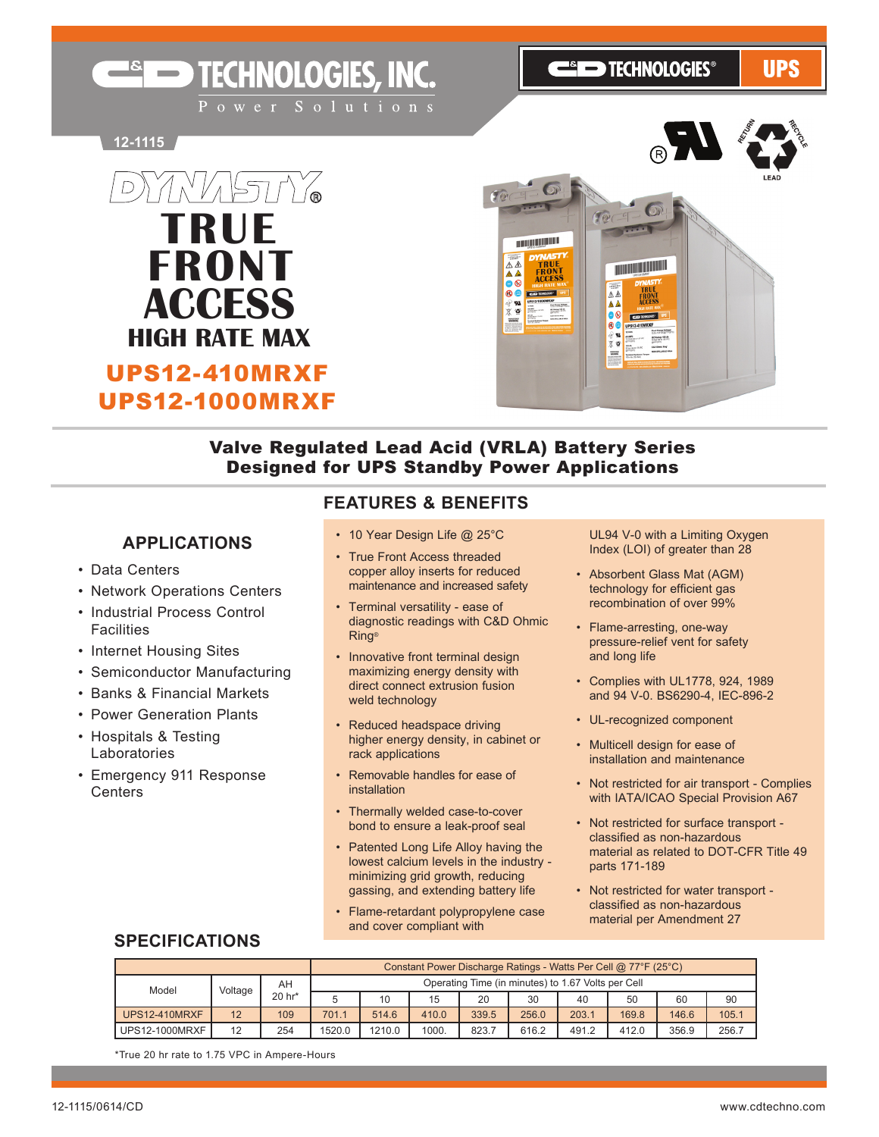**ESED TECHNOLOGIES®** 

**UPS** 

**12-1115**



**ENGINEERIC TECHNOLOGIES, INC.** 

UPS12-1000MRXF



## Valve Regulated Lead Acid (VRLA) Battery Series Designed for UPS Standby Power Applications

### **APPLICATIONS**

- Data Centers
- • Network Operations Centers
- Industrial Process Control **Facilities**
- Internet Housing Sites
- Semiconductor Manufacturing
- • Banks & Financial Markets
- Power Generation Plants
- • Hospitals & Testing Laboratories
- • Emergency 911 Response **Centers**

### **FEATURES & BENEFITS**

- 10 Year Design Life @ 25°C
- True Front Access threaded copper alloy inserts for reduced maintenance and increased safety
- Terminal versatility ease of diagnostic readings with C&D Ohmic Ring®
- Innovative front terminal design maximizing energy density with direct connect extrusion fusion weld technology
- Reduced headspace driving higher energy density, in cabinet or rack applications
- Removable handles for ease of installation
- Thermally welded case-to-cover bond to ensure a leak-proof seal
- Patented Long Life Alloy having the lowest calcium levels in the industry minimizing grid growth, reducing gassing, and extending battery life
- Flame-retardant polypropylene case and cover compliant with

 UL94 V-0 with a Limiting Oxygen Index (LOI) of greater than 28

- • Absorbent Glass Mat (AGM) technology for efficient gas recombination of over 99%
- Flame-arresting, one-way pressure-relief vent for safety and long life
- • Complies with UL1778, 924, 1989 and 94 V-0. BS6290-4, IEC-896-2
- • UL-recognized component
- Multicell design for ease of installation and maintenance
- Not restricted for air transport Complies with IATA/ICAO Special Provision A67
- • Not restricted for surface transport classified as non-hazardous material as related to DOT-CFR Title 49 parts 171-189
- • Not restricted for water transport classified as non-hazardous material per Amendment 27

## **SPECIFICATIONS**

|                       |         | Constant Power Discharge Ratings - Watts Per Cell @ 77°F (25°C) |        |                                                    |       |       |       |       |       |       |       |  |  |  |
|-----------------------|---------|-----------------------------------------------------------------|--------|----------------------------------------------------|-------|-------|-------|-------|-------|-------|-------|--|--|--|
| Model                 | Voltage | AH                                                              |        | Operating Time (in minutes) to 1.67 Volts per Cell |       |       |       |       |       |       |       |  |  |  |
|                       |         | 20 hr*                                                          |        | 10                                                 | 15    | 20    | 30    | 40    | 50    | 60    | 90    |  |  |  |
| <b>UPS12-410MRXF</b>  | 12      | 109                                                             | 701.1  | 514.6                                              | 410.0 | 339.5 | 256.0 | 203.1 | 169.8 | 146.6 | 105.1 |  |  |  |
| <b>UPS12-1000MRXF</b> | 12      | 254                                                             | 1520.0 | 1210.0                                             | 1000. | 823.7 | 616.2 | 491.2 | 412.0 | 356.9 | 256.7 |  |  |  |

\*True 20 hr rate to 1.75 VPC in Ampere-Hours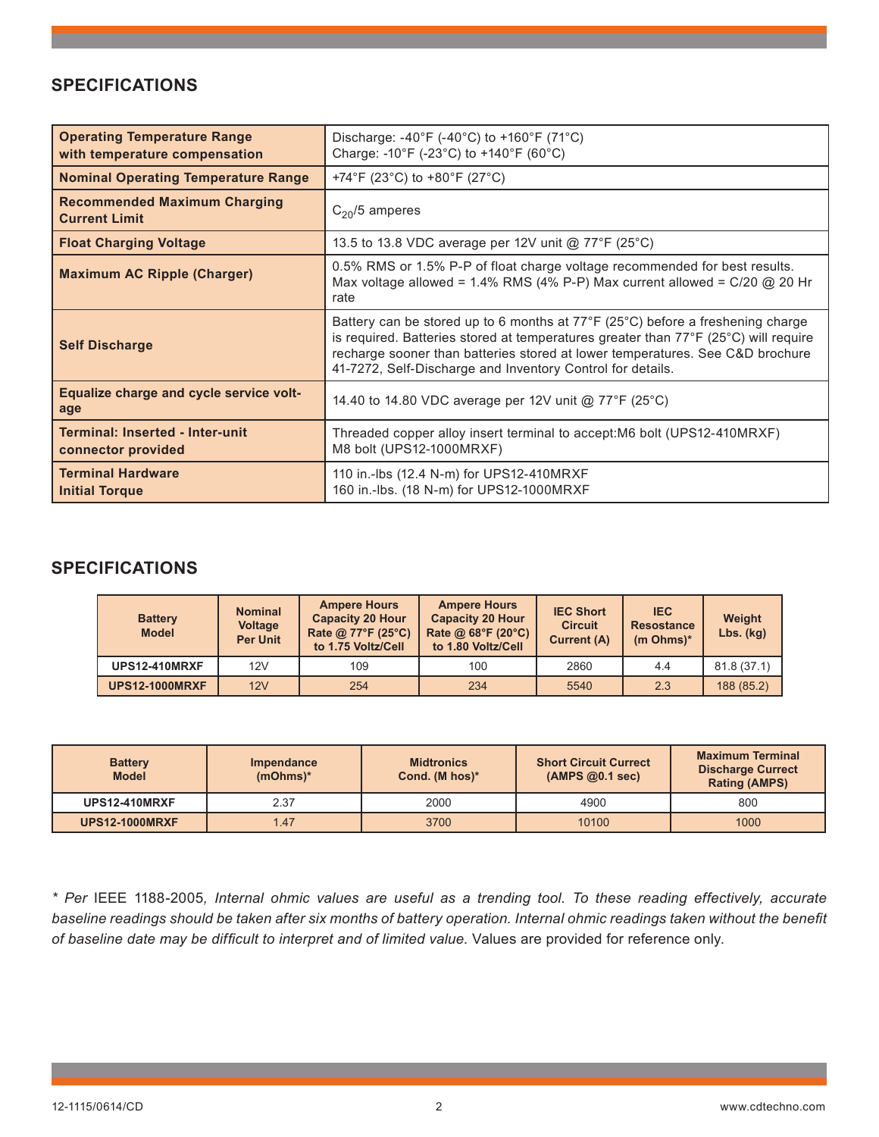## **SPECIFICATIONS**

| <b>Operating Temperature Range</b><br>with temperature compensation | Discharge: $-40^{\circ}F$ ( $-40^{\circ}C$ ) to $+160^{\circ}F$ (71 <sup>o</sup> C)<br>Charge: -10°F (-23°C) to +140°F (60°C)                                                                                                                                                                                        |
|---------------------------------------------------------------------|----------------------------------------------------------------------------------------------------------------------------------------------------------------------------------------------------------------------------------------------------------------------------------------------------------------------|
| <b>Nominal Operating Temperature Range</b>                          | +74°F (23°C) to +80°F (27°C)                                                                                                                                                                                                                                                                                         |
| <b>Recommended Maximum Charging</b><br><b>Current Limit</b>         | $C_{20}/5$ amperes                                                                                                                                                                                                                                                                                                   |
| <b>Float Charging Voltage</b>                                       | 13.5 to 13.8 VDC average per 12V unit @ 77°F (25°C)                                                                                                                                                                                                                                                                  |
| <b>Maximum AC Ripple (Charger)</b>                                  | 0.5% RMS or 1.5% P-P of float charge voltage recommended for best results.<br>Max voltage allowed = $1.4\%$ RMS (4% P-P) Max current allowed = $C/20$ @ 20 Hr<br>rate                                                                                                                                                |
| <b>Self Discharge</b>                                               | Battery can be stored up to 6 months at 77°F (25°C) before a freshening charge<br>is required. Batteries stored at temperatures greater than 77°F (25°C) will require<br>recharge sooner than batteries stored at lower temperatures. See C&D brochure<br>41-7272, Self-Discharge and Inventory Control for details. |
| Equalize charge and cycle service volt-<br>age                      | 14.40 to 14.80 VDC average per 12V unit @ 77°F (25°C)                                                                                                                                                                                                                                                                |
| <b>Terminal: Inserted - Inter-unit</b><br>connector provided        | Threaded copper alloy insert terminal to accept: M6 bolt (UPS12-410MRXF)<br>M8 bolt (UPS12-1000MRXF)                                                                                                                                                                                                                 |
| <b>Terminal Hardware</b><br><b>Initial Torque</b>                   | 110 in.-lbs (12.4 N-m) for UPS12-410MRXF<br>160 in.-lbs. (18 N-m) for UPS12-1000MRXF                                                                                                                                                                                                                                 |

## **SPECIFICATIONS**

| <b>Battery</b><br><b>Model</b> | <b>Nominal</b><br><b>Voltage</b><br><b>Per Unit</b> | <b>Ampere Hours</b><br><b>Capacity 20 Hour</b><br>Rate @ 77°F (25°C)<br>to 1.75 Voltz/Cell | <b>Ampere Hours</b><br><b>Capacity 20 Hour</b><br>Rate @ 68°F (20°C)<br>to 1.80 Voltz/Cell | <b>IEC Short</b><br><b>Circuit</b><br><b>Current (A)</b> | <b>IEC</b><br><b>Resostance</b><br>$(m Ohms)*$ | Weight<br>$Lbs.$ (kg) |  |
|--------------------------------|-----------------------------------------------------|--------------------------------------------------------------------------------------------|--------------------------------------------------------------------------------------------|----------------------------------------------------------|------------------------------------------------|-----------------------|--|
| <b>UPS12-410MRXF</b>           | 12V                                                 | 109                                                                                        | 100                                                                                        | 2860                                                     | 4.4                                            | 81.8(37.1)            |  |
| <b>UPS12-1000MRXF</b>          | 12V                                                 | 254                                                                                        | 234                                                                                        | 5540                                                     | 2.3                                            | 188 (85.2)            |  |

| <b>Battery</b><br><b>Model</b> | <b>Impendance</b><br>$(mOhms)*$ |      | <b>Short Circuit Currect</b><br>(AMPS@0.1 sec) | <b>Maximum Terminal</b><br><b>Discharge Currect</b><br><b>Rating (AMPS)</b> |  |
|--------------------------------|---------------------------------|------|------------------------------------------------|-----------------------------------------------------------------------------|--|
| <b>UPS12-410MRXF</b>           | 2.37                            | 2000 | 4900                                           | 800                                                                         |  |
| <b>UPS12-1000MRXF</b>          | 1.47                            | 3700 | 10100                                          | 1000                                                                        |  |

*\* Per* IEEE 1188-2005*, Internal ohmic values are useful as a trending tool. To these reading effectively, accurate baseline readings should be taken after six months of battery operation. Internal ohmic readings taken without the benefit of baseline date may be difficult to interpret and of limited value.* Values are provided for reference only.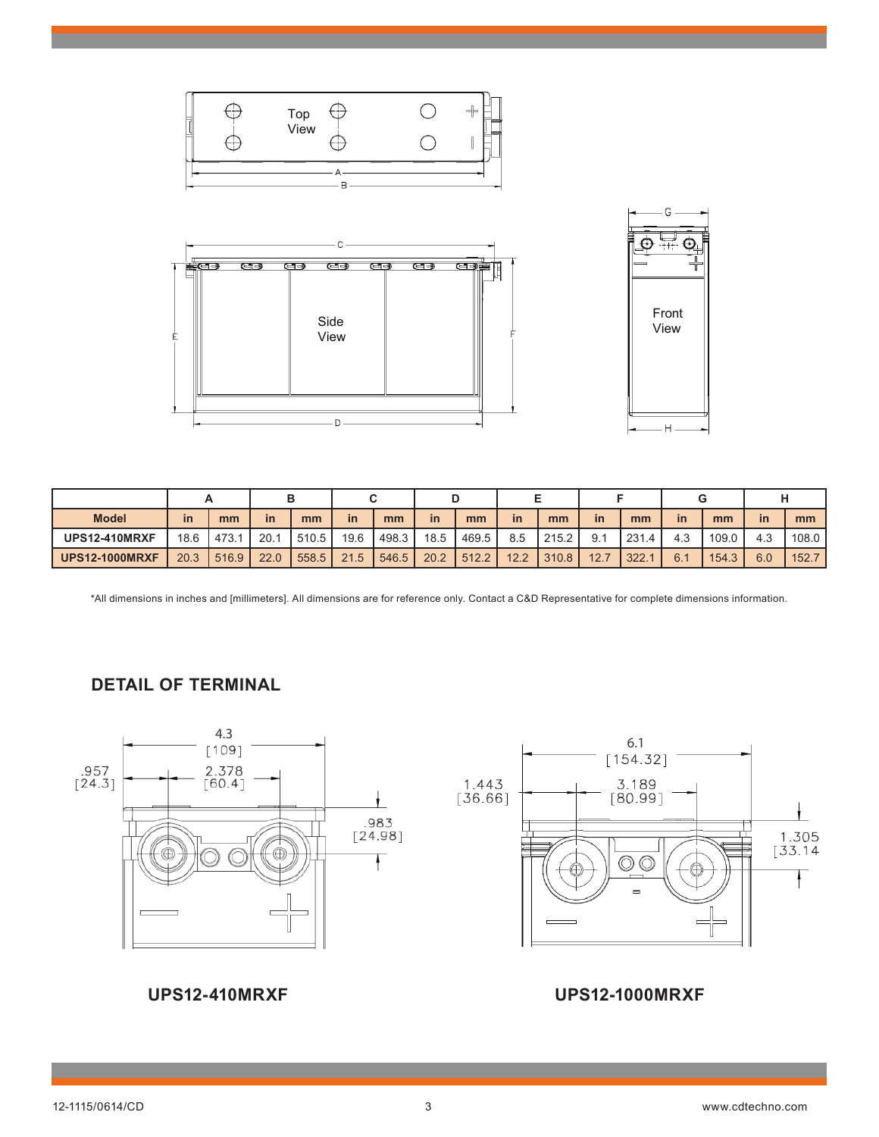

| <b>Model</b>          | in   | mm    | in   | mm    | in   | mm    | <i>in</i> | mm      | <i>in</i> | mm    | <i>in</i> | mm    | <i>in</i> | mm    | <b>in</b> | mm    |
|-----------------------|------|-------|------|-------|------|-------|-----------|---------|-----------|-------|-----------|-------|-----------|-------|-----------|-------|
| <b>UPS12-410MRXF</b>  | 18.6 | 473.1 | 20.1 | 510.5 | 19.6 | 498.3 | 18.5      | 469.5 l | 8.5       | 215.2 | 9.1       | 231.4 | 4.3       | 109.0 | 4.3       | 108.0 |
| <b>UPS12-1000MRXF</b> | 20.3 | 516.9 | 22.0 | 558.5 | 21.5 | 546.5 | 20.2      | 1512.2  | 12.2      | 310.8 | 12.7      | 322.  | 6.1       | 154.3 | 6.0       | 152.7 |

\*All dimensions in inches and [millimeters]. All dimensions are for reference only. Contact a C&D Representative for complete dimensions information.

## **DETAIL OF TERMINAL**



## **UPS12-410MRXF UPS12-1000MRXF**